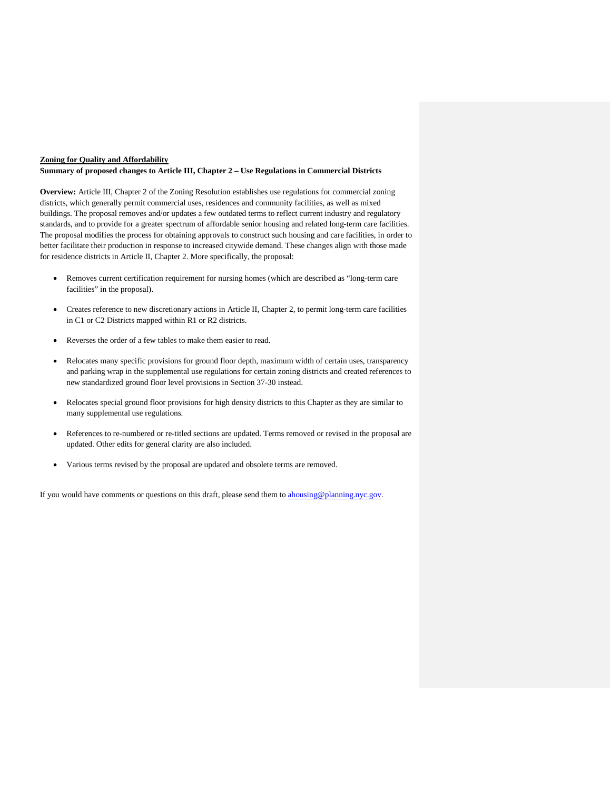## **Zoning for Quality and Affordability Summary of proposed changes to Article III, Chapter 2 – Use Regulations in Commercial Districts**

**Overview:** Article III, Chapter 2 of the Zoning Resolution establishes use regulations for commercial zoning districts, which generally permit commercial uses, residences and community facilities, as well as mixed buildings. The proposal removes and/or updates a few outdated terms to reflect current industry and regulatory standards, and to provide for a greater spectrum of affordable senior housing and related long-term care facilities. The proposal modifies the process for obtaining approvals to construct such housing and care facilities, in order to better facilitate their production in response to increased citywide demand. These changes align with those made for residence districts in Article II, Chapter 2. More specifically, the proposal:

- Removes current certification requirement for nursing homes (which are described as "long-term care facilities" in the proposal).
- Creates reference to new discretionary actions in Article II, Chapter 2, to permit long-term care facilities in C1 or C2 Districts mapped within R1 or R2 districts.
- Reverses the order of a few tables to make them easier to read.
- Relocates many specific provisions for ground floor depth, maximum width of certain uses, transparency and parking wrap in the supplemental use regulations for certain zoning districts and created references to new standardized ground floor level provisions in Section 37-30 instead.
- Relocates special ground floor provisions for high density districts to this Chapter as they are similar to many supplemental use regulations.
- References to re-numbered or re-titled sections are updated. Terms removed or revised in the proposal are updated. Other edits for general clarity are also included.
- Various terms revised by the proposal are updated and obsolete terms are removed.

If you would have comments or questions on this draft, please send them to [ahousing@planning.nyc.gov.](mailto:ahousing@planning.nyc.gov)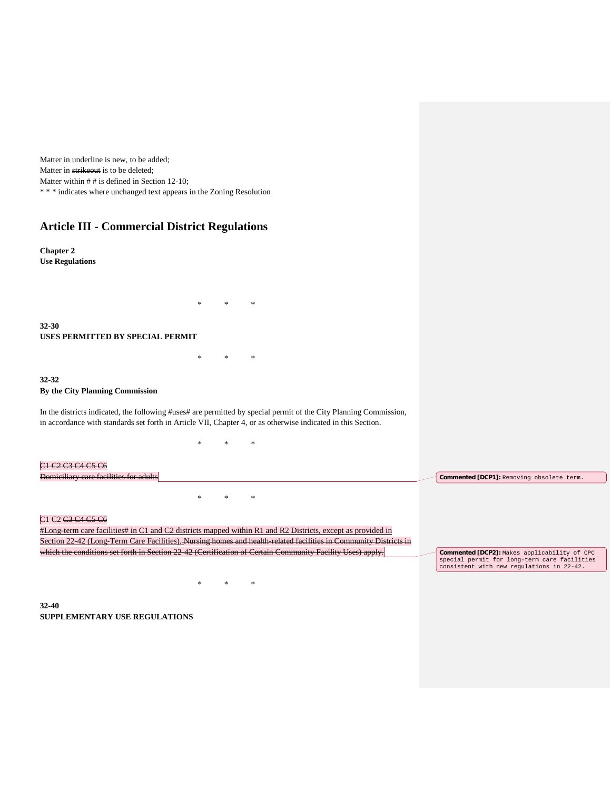Matter in underline is new, to be added; Matter in strikeout is to be deleted; Matter within  $# #$  is defined in Section 12-10; \* \* \* indicates where unchanged text appears in the Zoning Resolution

# **Article III - Commercial District Regulations**

**Chapter 2 Use Regulations**

**32-30 USES PERMITTED BY SPECIAL PERMIT**

**32-32 By the City Planning Commission**

In the districts indicated, the following #uses# are permitted by special permit of the City Planning Commission, in accordance with standards set forth in Article VII, Chapter 4, or as otherwise indicated in this Section.

\* \* \*

\* \* \*

\* \* \*

\* \* \*

| C1 C2 C3 C4 C5 C6<br>Domiciliary care facilities for adults                                                                                                                                              | <b>Commented [DCP1]:</b> Removing obsolete term.                                                                                          |
|----------------------------------------------------------------------------------------------------------------------------------------------------------------------------------------------------------|-------------------------------------------------------------------------------------------------------------------------------------------|
| *                                                                                                                                                                                                        |                                                                                                                                           |
| C <sub>1</sub> C <sub>2</sub> C <sub>3</sub> C <sub>4</sub> C <sub>5</sub> C <sub>6</sub><br>#Long-term care facilities# in C1 and C2 districts mapped within R1 and R2 Districts, except as provided in |                                                                                                                                           |
| Section 22-42 (Long-Term Care Facilities). Nursing homes and health related facilities in Community Districts in                                                                                         |                                                                                                                                           |
| which the conditions set forth in Section 22 42 (Certification of Certain Community Facility Uses) apply.                                                                                                | Commented [DCP2]: Makes applicability of CPC<br>special permit for long-term care facilities<br>consistent with new regulations in 22-42. |

**32-40 SUPPLEMENTARY USE REGULATIONS**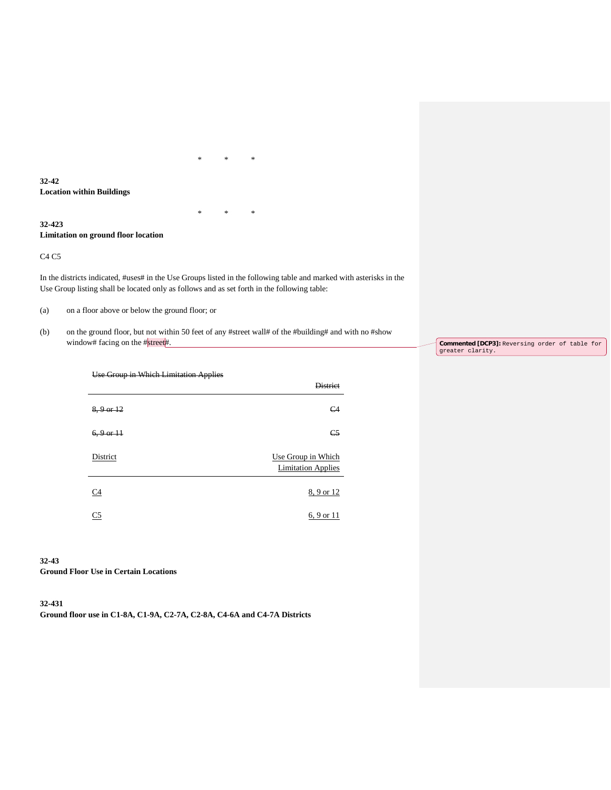**32-42 Location within Buildings**

## **32-423 Limitation on ground floor location**

C4 C5

In the districts indicated, #uses# in the Use Groups listed in the following table and marked with asterisks in the Use Group listing shall be located only as follows and as set forth in the following table:

\* \* \*

\* \* \*

(a) on a floor above or below the ground floor; or

(b) on the ground floor, but not within 50 feet of any #street wall# of the #building# and with no #show window# facing on the #street#.

**Commented [DCP3]:** Reversing order of table for greater clarity.

| Use Group in Which Limitation Applies |                                                 |
|---------------------------------------|-------------------------------------------------|
|                                       | <b>Dictrict</b>                                 |
| $8, 9$ or $12$                        | C <sub>4</sub>                                  |
| $6, 9$ or $11$                        | C <sub>5</sub>                                  |
| District                              | Use Group in Which<br><b>Limitation Applies</b> |
| C4                                    | 8, 9 or 12                                      |
| C <sub>5</sub>                        | 6, 9 or 11                                      |

## **32-43**

**Ground Floor Use in Certain Locations**

## **32-431 Ground floor use in C1-8A, C1-9A, C2-7A, C2-8A, C4-6A and C4-7A Districts**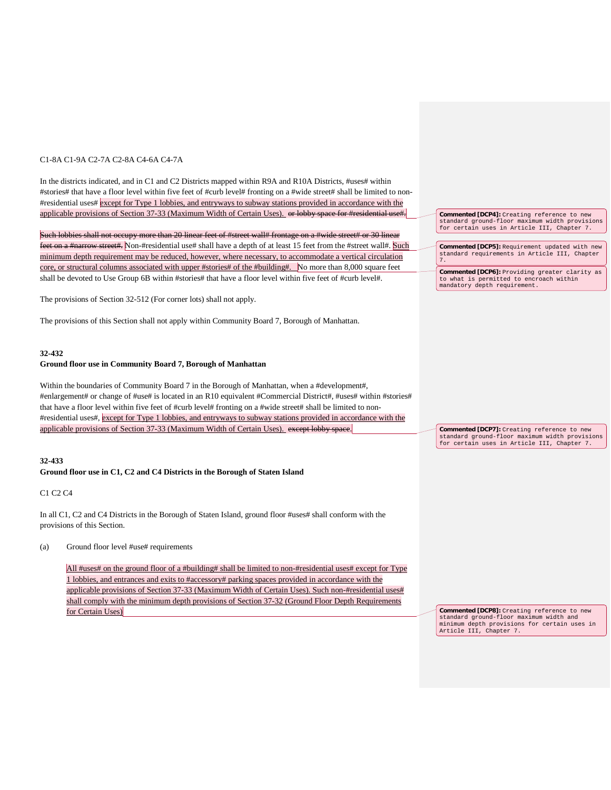### C1-8A C1-9A C2-7A C2-8A C4-6A C4-7A

In the districts indicated, and in C1 and C2 Districts mapped within R9A and R10A Districts, #uses# within #stories# that have a floor level within five feet of #curb level# fronting on a #wide street# shall be limited to non- #residential uses# except for Type 1 lobbies, and entryways to subway stations provided in accordance with the applicable provisions of Section 37-33 (Maximum Width of Certain Uses). or lobby space for #residential use

Such lobbies shall not occupy more than 20 linear feet of #street wall# frontage on a #wide street# or 30 linear feet on a #narrow street#. Non-#residential use# shall have a depth of at least 15 feet from the #street wall#. Such minimum depth requirement may be reduced, however, where necessary, to accommodate a vertical circulation core, or structural columns associated with upper #stories# of the #building#. No more than 8,000 square feet shall be devoted to Use Group 6B within #stories# that have a floor level within five feet of #curb level#.

The provisions of Section 32-512 (For corner lots) shall not apply.

The provisions of this Section shall not apply within Community Board 7, Borough of Manhattan.

#### **32-432**

#### **Ground floor use in Community Board 7, Borough of Manhattan**

Within the boundaries of Community Board 7 in the Borough of Manhattan, when a #development#, #enlargement# or change of #use# is located in an R10 equivalent #Commercial District#, #uses# within #stories# that have a floor level within five feet of #curb level# fronting on a #wide street# shall be limited to non- #residential uses#, except for Type 1 lobbies, and entryways to subway stations provided in accordance with the applicable provisions of Section 37-33 (Maximum Width of Certain Uses). except lobby space.

#### **32-433**

## **Ground floor use in C1, C2 and C4 Districts in the Borough of Staten Island**

C1 C2 C4

In all C1, C2 and C4 Districts in the Borough of Staten Island, ground floor #uses# shall conform with the provisions of this Section.

(a) Ground floor level #use# requirements

All #uses# on the ground floor of a #building# shall be limited to non-#residential uses# except for Type 1 lobbies, and entrances and exits to #accessory# parking spaces provided in accordance with the applicable provisions of Section 37-33 (Maximum Width of Certain Uses). Such non-#residential uses# shall comply with the minimum depth provisions of Section 37-32 (Ground Floor Depth Requirements for Certain Uses)

**Commented [DCP4]:** Creating reference to new standard ground-floor maximum width provisions for certain uses in Article III, Chapter 7.

**Commented [DCP5]:** Requirement updated with new standard requirements in Article III, Chapter 7. **Commented [DCP6]:** Providing greater clarity as

to what is permitted to encroach within mandatory depth requirement.

**Commented [DCP7]:** Creating reference to new standard ground-floor maximum width provisions for certain uses in Article III, Chapter 7.

**Commented [DCP8]:** Creating reference to new standard ground-floor maximum width and minimum depth provisions for certain uses in Article III, Chapter 7.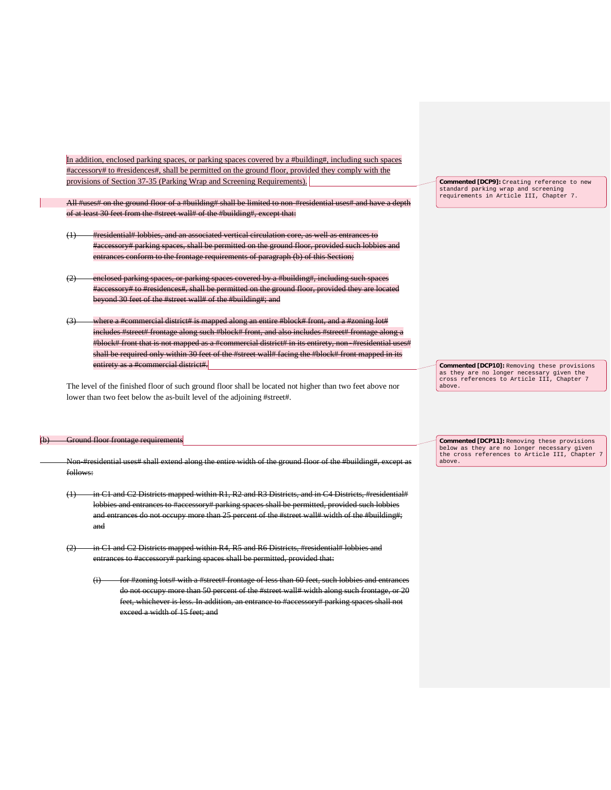In addition, enclosed parking spaces, or parking spaces covered by a #building#, including such spaces #accessory# to #residences#, shall be permitted on the ground floor, provided they comply with the provisions of Section 37-35 (Parking Wrap and Screening Requirements).

All #uses# on the ground floor of a #building# shall be limited to non-#residential uses# and have a of at least 30 feet from the #street wall# of the #building#, except that:

- (1) #residential# lobbies, and an associated vertical circulation core, as well as entrances to #accessory# parking spaces, shall be permitted on the ground floor, provided such lobbies and entrances conform to the frontage requirements of paragraph (b) of this Section;
- (2) enclosed parking spaces, or parking spaces covered by a #building#, including such space #accessory# to #residences#, shall be permitted on the ground floor, provided they are located beyond 30 feet of the #street wall# of the #building#; and
- $(3)$  where a #commercial district# is mapped along an entire #block# front, and a #zoning lot# includes #street# frontage along such #block# front, and also includes #street# frontage along a #block# front that is not mapped as a #commercial district# in its entirety, non-#residential uses shall be required only within 30 feet of the #street wall# facing the #block# front mapped in its entirety as a #commercial district#.

The level of the finished floor of such ground floor shall be located not higher than two feet above nor lower than two feet below the as-built level of the adjoining #street#.

#### nd floor frontage requirem

Non-#residential uses# shall extend along the entire width of the ground floor of the #building#, except as follows:

- (1) in C1 and C2 Districts mapped within R1, R2 and R3 Districts, and in C4 Districts, #residential# lobbies and entrances to #accessory# parking spaces shall be permitted, provided such lobbies and entrances do not occupy more than 25 percent of the #street wall# width of the #building#; and
- (2) in C1 and C2 Districts mapped within R4, R5 and R6 Districts, #residential# lobbies and entrances to #accessory# parking spaces shall be permitted, provided that:
	- $(i)$  for #zoning lots# with a #street# frontage of less than 60 feet, such lobbies and entran do not occupy more than 50 percent of the #street wall# width along such frontage, or 20 feet, whichever is less. In addition, an entrance to #accessory# parking spaces shall not exceed a width of 15 feet; and

**Commented [DCP9]:** Creating reference to new standard parking wrap and screening requirements in Article III, Chapter 7.

**Commented [DCP10]:** Removing these provisions as they are no longer necessary given the cross references to Article III, Chapter 7 above.

**Commented [DCP11]:** Removing these provisions below as they are no longer necessary given the cross references to Article III, Chapter 7 above.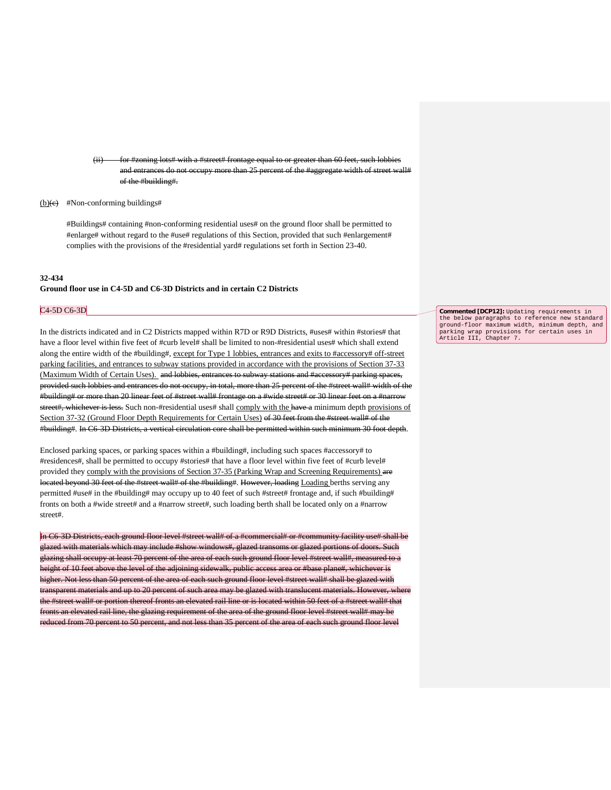(ii) for #zoning lots# with a #street# frontage equal to or greater than 60 feet, such lobbies and entrances do not occupy more than 25 percent of the #aggregate width of street wall# of the #building#.

(b) $\left(e\right)$  #Non-conforming buildings#

#Buildings# containing #non-conforming residential uses# on the ground floor shall be permitted to #enlarge# without regard to the #use# regulations of this Section, provided that such #enlargement# complies with the provisions of the #residential yard# regulations set forth in Section 23-40.

## **32-434 Ground floor use in C4-5D and C6-3D Districts and in certain C2 Districts**

#### C4-5D C6-3D

In the districts indicated and in C2 Districts mapped within R7D or R9D Districts, #uses# within #stories# that have a floor level within five feet of #curb level# shall be limited to non-#residential uses# which shall extend along the entire width of the #building#, except for Type 1 lobbies, entrances and exits to #accessory# off-street parking facilities, and entrances to subway stations provided in accordance with the provisions of Section 37-33 (Maximum Width of Certain Uses). and lobbies, entrances to subway stations and #accessory# parking spaces, provided such lobbies and entrances do not occupy, in total, more than 25 percent of the #street wall# width of the #building# or more than 20 linear feet of #street wall# frontage on a #wide street# or 30 linear feet on a #narrow street#, whichever is less. Such non-#residential uses# shall comply with the have a minimum depth provisions of Section 37-32 (Ground Floor Depth Requirements for Certain Uses) of 30 feet from the #street wall# of the #building#. In C6-3D Districts, a vertical circulation core shall be permitted within such minimum 30 foot depth.

Enclosed parking spaces, or parking spaces within a #building#, including such spaces #accessory# to #residences#, shall be permitted to occupy #stories# that have a floor level within five feet of #curb level# provided they comply with the provisions of Section 37-35 (Parking Wrap and Screening Requirements) are located beyond 30 feet of the #street wall# of the #building#. However, loading Loading berths serving any permitted #use# in the #building# may occupy up to 40 feet of such #street# frontage and, if such #building# fronts on both a #wide street# and a #narrow street#, such loading berth shall be located only on a #narrow street#.

In C6-3D Districts, each ground floor level #street wall# of a #commercial# or #community facility use# shall be glazed with materials which may include #show windows#, glazed transoms or glazed portions of doors. Such glazing shall occupy at least 70 percent of the area of each such ground floor level #street wall#, measured to a height of 10 feet above the level of the adjoining sidewalk, public access area or #base plane#, whichever is higher. Not less than 50 percent of the area of each such ground floor level #street wall# shall be glazed with transparent materials and up to 20 percent of such area may be glazed with translucent materials. However, where the #street wall# or portion thereof fronts an elevated rail line or is located within 50 feet of a #street wall# that fronts an elevated rail line, the glazing requirement of the area of the ground floor level #street wall# may be reduced from 70 percent to 50 percent, and not less than 35 percent of the area of each such ground floor level

**Commented [DCP12]:** Updating requirements in the below paragraphs to reference new standard ground-floor maximum width, minimum depth, and parking wrap provisions for certain uses in Article III, Chapter 7.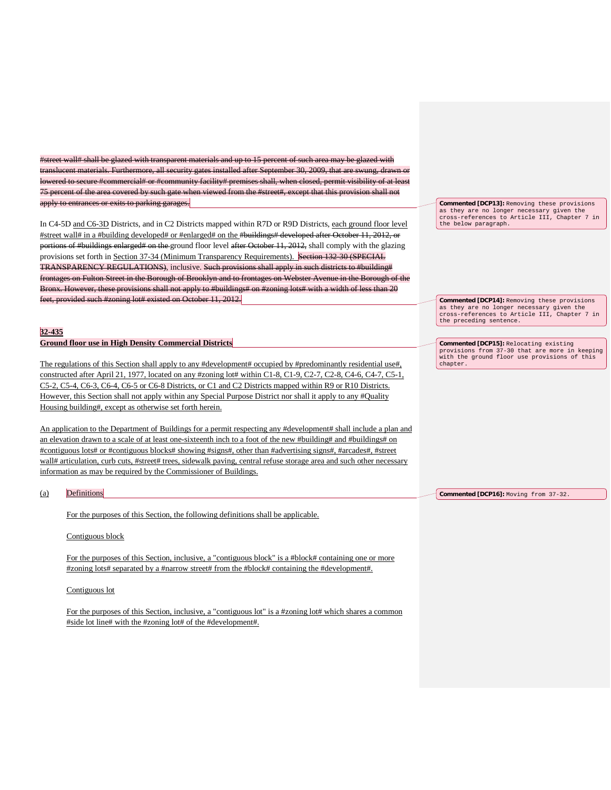#street wall# shall be glazed with transparent materials and up to 15 percent of such area may be glazed with Furthermore, all security gates installed after September 30, 2009, that lowered to secure #commercial# or #community facility# premises shall, when closed, permit visibility of at least 75 percent of the area covered by such gate when viewed from the #street#, except that this provision shall not apply to entrances or exits to parking garages.

In C4-5D and C6-3D Districts, and in C2 Districts mapped within R7D or R9D Districts, each ground floor level #street wall# in a #building developed# or #enlarged# on the #buildings# developed after October 11, 2012, or portions of #buildings enlarged# on the ground floor level after October 11, 2012, shall comply with the glazing provisions set forth in Section 37-34 (Minimum Transparency Requirements). Section 132-30 (SPECIAL TRANSPARENCY REGULATIONS), inclusive. Such provisions shall apply in such districts to #building# frontages on Fulton Street in the Borough of Brooklyn and to frontages on Webster Avenue in the Borough of the Bronx. However, these provisions shall not apply to #buildings# on #zoning lots# with a width of less than 20 feet, provided such #zoning lot# existed on October 11, 2012.

## **32-435**

#### **Ground floor use in High Density Commercial Districts**

The regulations of this Section shall apply to any #development# occupied by #predominantly residential use#, constructed after April 21, 1977, located on any #zoning lot# within C1-8, C1-9, C2-7, C2-8, C4-6, C4-7, C5-1, C5-2, C5-4, C6-3, C6-4, C6-5 or C6-8 Districts, or C1 and C2 Districts mapped within R9 or R10 Districts. However, this Section shall not apply within any Special Purpose District nor shall it apply to any #Quality Housing building#, except as otherwise set forth herein.

An application to the Department of Buildings for a permit respecting any #development# shall include a plan and an elevation drawn to a scale of at least one-sixteenth inch to a foot of the new #building# and #buildings# on #contiguous lots# or #contiguous blocks# showing #signs#, other than #advertising signs#, #arcades#, #street wall# articulation, curb cuts, #street# trees, sidewalk paving, central refuse storage area and such other necessary information as may be required by the Commissioner of Buildings.

## (a) Definitions

For the purposes of this Section, the following definitions shall be applicable.

#### Contiguous block

For the purposes of this Section, inclusive, a "contiguous block" is a #block# containing one or more #zoning lots# separated by a #narrow street# from the #block# containing the #development#.

#### Contiguous lot

For the purposes of this Section, inclusive, a "contiguous lot" is a #zoning lot# which shares a common #side lot line# with the #zoning lot# of the #development#.

**Commented [DCP13]:** Removing these provisions as they are no longer necessary given the cross-references to Article III, Chapter 7 in the below paragraph.

**Commented [DCP14]:** Removing these provisions as they are no longer necessary given the cross-references to Article III, Chapter 7 in the preceding sentence.

**Commented [DCP15]:** Relocating existing provisions from 37-30 that are more in keeping with the ground floor use provisions of this chapter.

**Commented [DCP16]:** Moving from 37-32.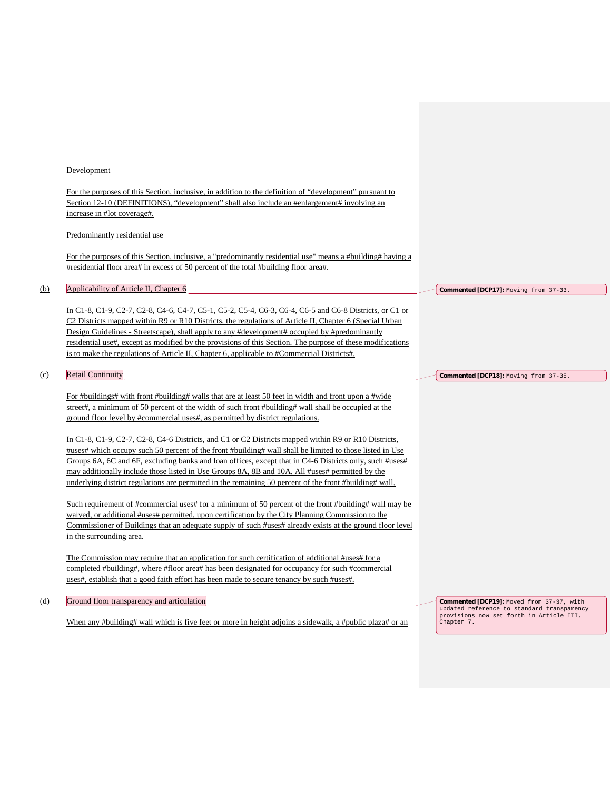#### Development

For the purposes of this Section, inclusive, in addition to the definition of "development" pursuant to Section 12-10 (DEFINITIONS), "development" shall also include an #enlargement# involving an increase in #lot coverage#.

### Predominantly residential use

For the purposes of this Section, inclusive, a "predominantly residential use" means a #building# having a #residential floor area# in excess of 50 percent of the total #building floor area#.

## (b) Applicability of Article II, Chapter 6

In C1-8, C1-9, C2-7, C2-8, C4-6, C4-7, C5-1, C5-2, C5-4, C6-3, C6-4, C6-5 and C6-8 Districts, or C1 or C2 Districts mapped within R9 or R10 Districts, the regulations of Article II, Chapter 6 (Special Urban Design Guidelines - Streetscape), shall apply to any #development# occupied by #predominantly residential use#, except as modified by the provisions of this Section. The purpose of these modifications is to make the regulations of Article II, Chapter 6, applicable to #Commercial Districts#.

#### (c) Retail Continuity

For #buildings# with front #building# walls that are at least 50 feet in width and front upon a #wide street#, a minimum of 50 percent of the width of such front #building# wall shall be occupied at the ground floor level by #commercial uses#, as permitted by district regulations.

In C1-8, C1-9, C2-7, C2-8, C4-6 Districts, and C1 or C2 Districts mapped within R9 or R10 Districts, #uses# which occupy such 50 percent of the front #building# wall shall be limited to those listed in Use Groups 6A, 6C and 6F, excluding banks and loan offices, except that in C4-6 Districts only, such #uses# may additionally include those listed in Use Groups 8A, 8B and 10A. All #uses# permitted by the underlying district regulations are permitted in the remaining 50 percent of the front #building# wall.

Such requirement of #commercial uses# for a minimum of 50 percent of the front #building# wall may be waived, or additional #uses# permitted, upon certification by the City Planning Commission to the Commissioner of Buildings that an adequate supply of such #uses# already exists at the ground floor level in the surrounding area.

The Commission may require that an application for such certification of additional #uses# for a completed #building#, where #floor area# has been designated for occupancy for such #commercial uses#, establish that a good faith effort has been made to secure tenancy by such #uses#.

(d) Ground floor transparency and articulation

When any #building# wall which is five feet or more in height adjoins a sidewalk, a #public plaza# or an

**Commented [DCP17]:** Moving from 37-33.

**Commented [DCP18]:** Moving from 37-35.

**Commented [DCP19]:** Moved from 37-37, with updated reference to standard transparency provisions now set forth in Article III, Chapter 7.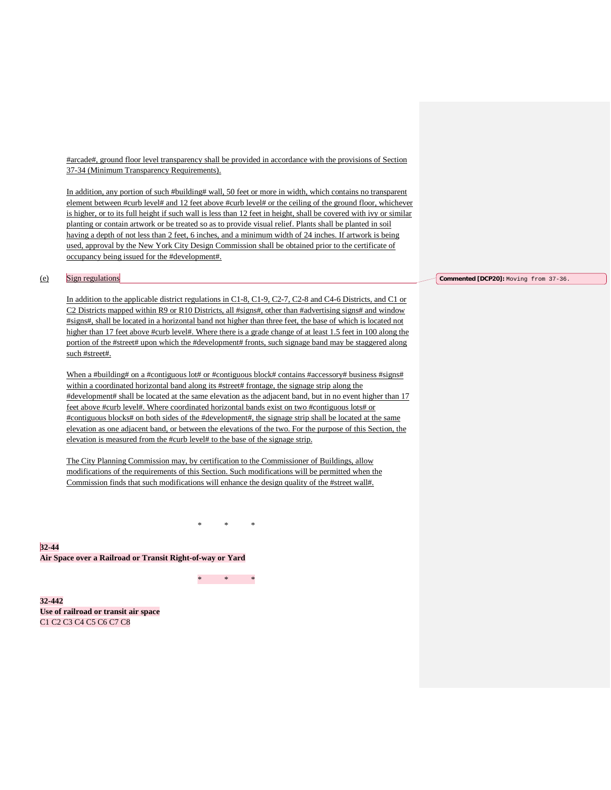#arcade#, ground floor level transparency shall be provided in accordance with the provisions of Section 37-34 (Minimum Transparency Requirements).

In addition, any portion of such #building# wall, 50 feet or more in width, which contains no transparent element between #curb level# and 12 feet above #curb level# or the ceiling of the ground floor, whichever is higher, or to its full height if such wall is less than 12 feet in height, shall be covered with ivy or similar planting or contain artwork or be treated so as to provide visual relief. Plants shall be planted in soil having a depth of not less than 2 feet, 6 inches, and a minimum width of 24 inches. If artwork is being used, approval by the New York City Design Commission shall be obtained prior to the certificate of occupancy being issued for the #development#.

#### (e) Sign regulations

In addition to the applicable district regulations in C1-8, C1-9, C2-7, C2-8 and C4-6 Districts, and C1 or C2 Districts mapped within R9 or R10 Districts, all #signs#, other than #advertising signs# and window #signs#, shall be located in a horizontal band not higher than three feet, the base of which is located not higher than 17 feet above #curb level#. Where there is a grade change of at least 1.5 feet in 100 along the portion of the #street# upon which the #development# fronts, such signage band may be staggered along such #street#.

When a #building# on a #contiguous lot# or #contiguous block# contains #accessory# business #signs# within a coordinated horizontal band along its #street# frontage, the signage strip along the #development# shall be located at the same elevation as the adjacent band, but in no event higher than 17 feet above #curb level#. Where coordinated horizontal bands exist on two #contiguous lots# or #contiguous blocks# on both sides of the #development#, the signage strip shall be located at the same elevation as one adjacent band, or between the elevations of the two. For the purpose of this Section, the elevation is measured from the #curb level# to the base of the signage strip.

The City Planning Commission may, by certification to the Commissioner of Buildings, allow modifications of the requirements of this Section. Such modifications will be permitted when the Commission finds that such modifications will enhance the design quality of the #street wall#.

\* \* \*

**32-44 Air Space over a Railroad or Transit Right-of-way or Yard**

\* \* \*

**32-442 Use of railroad or transit air space** C1 C2 C3 C4 C5 C6 C7 C8

## **Commented [DCP20]:** Moving from 37-36.